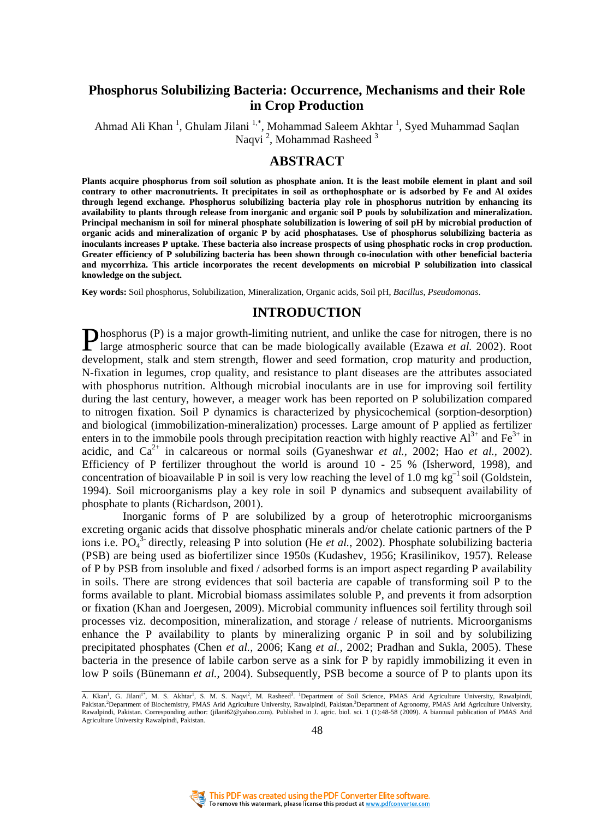# **Phosphorus Solubilizing Bacteria: Occurrence, Mechanisms and their Role in Crop Production**

Ahmad Ali Khan<sup>1</sup>, Ghulam Jilani<sup>1,\*</sup>, Mohammad Saleem Akhtar<sup>1</sup>, Syed Muhammad Saqlan Naqvi<sup>2</sup>, Mohammad Rasheed<sup>3</sup>

### **ABSTRACT**

**Plants acquire phosphorus from soil solution as phosphate anion. It is the least mobile element in plant and soil contrary to other macronutrients. It precipitates in soil as orthophosphate or is adsorbed by Fe and Al oxides through legend exchange. Phosphorus solubilizing bacteria play role in phosphorus nutrition by enhancing its availability to plants through release from inorganic and organic soil P pools by solubilization and mineralization. Principal mechanism in soil for mineral phosphate solubilization is lowering of soil pH by microbial production of organic acids and mineralization of organic P by acid phosphatases. Use of phosphorus solubilizing bacteria as inoculants increases P uptake. These bacteria also increase prospects of using phosphatic rocks in crop production. Greater efficiency of P solubilizing bacteria has been shown through co-inoculation with other beneficial bacteria and mycorrhiza. This article incorporates the recent developments on microbial P solubilization into classical knowledge on the subject.** 

**Key words:** Soil phosphorus, Solubilization, Mineralization, Organic acids, Soil pH, *Bacillus*, *Pseudomonas*.

# **INTRODUCTION**

**P**hosphorus (P) is a major growth-limiting nutrient, and unlike the case for nitrogen, there is no large atmospheric source that can be made biologically available (Ezawa *et al.* 2002). Root large atmospheric source that can be made biologically available (Ezawa *et al.* 2002). Root development, stalk and stem strength, flower and seed formation, crop maturity and production, N-fixation in legumes, crop quality, and resistance to plant diseases are the attributes associated with phosphorus nutrition. Although microbial inoculants are in use for improving soil fertility during the last century, however, a meager work has been reported on P solubilization compared to nitrogen fixation. Soil P dynamics is characterized by physicochemical (sorption-desorption) and biological (immobilization-mineralization) processes. Large amount of P applied as fertilizer enters in to the immobile pools through precipitation reaction with highly reactive  $Al^{3+}$  and Fe<sup>3+</sup> in acidic, and  $Ca^{2+}$  in calcareous or normal soils (Gyaneshwar *et al.,* 2002; Hao *et al.,* 2002). Efficiency of P fertilizer throughout the world is around 10 - 25 % (Isherword, 1998), and concentration of bioavailable P in soil is very low reaching the level of 1.0 mg  $kg^{-1}$  soil (Goldstein, 1994). Soil microorganisms play a key role in soil P dynamics and subsequent availability of phosphate to plants (Richardson, 2001).

Inorganic forms of P are solubilized by a group of heterotrophic microorganisms excreting organic acids that dissolve phosphatic minerals and/or chelate cationic partners of the P ions i.e.  $PO_4^{3}$ - directly, releasing P into solution (He *et al.*, 2002). Phosphate solubilizing bacteria (PSB) are being used as biofertilizer since 1950s (Kudashev, 1956; Krasilinikov, 1957). Release of P by PSB from insoluble and fixed / adsorbed forms is an import aspect regarding P availability in soils. There are strong evidences that soil bacteria are capable of transforming soil P to the forms available to plant. Microbial biomass assimilates soluble P, and prevents it from adsorption or fixation (Khan and Joergesen, 2009). Microbial community influences soil fertility through soil processes viz. decomposition, mineralization, and storage / release of nutrients. Microorganisms enhance the P availability to plants by mineralizing organic P in soil and by solubilizing precipitated phosphates (Chen *et al.*, 2006; Kang *et al.*, 2002; Pradhan and Sukla, 2005). These bacteria in the presence of labile carbon serve as a sink for P by rapidly immobilizing it even in low P soils (Bünemann *et al.*, 2004). Subsequently, PSB become a source of P to plants upon its



A. Kkan<sup>1</sup>, G. Jilani<sup>1</sup><sup>\*</sup>, M. S. Akhtar<sup>1</sup>, S. M. S. Naqvi<sup>2</sup>, M. Rasheed<sup>3</sup>. <sup>1</sup>Department of Soil Science, PMAS Arid Agriculture University, Rawalpindi, Pakistan.<sup>2</sup>Department of Biochemistry, PMAS Arid Agriculture University, Rawalpindi, Pakistan.<sup>3</sup>Department of Agronomy, PMAS Arid Agriculture University, Rawalpindi, Pakistan. Corresponding author: (jilani62@yahoo.com). Published in J. agric. biol. sci. 1 (1):48-58 (2009). A biannual publication of PMAS Arid Agriculture University Rawalpindi, Pakistan.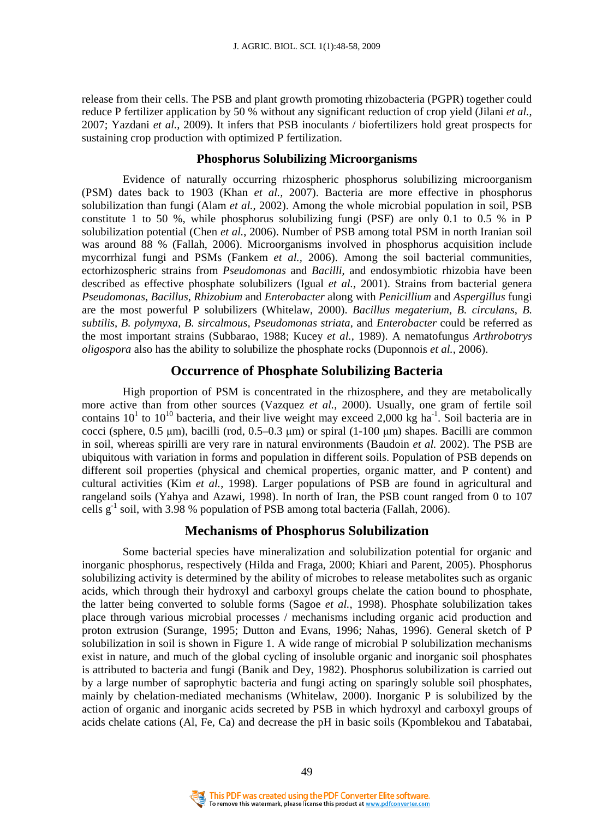release from their cells. The PSB and plant growth promoting rhizobacteria (PGPR) together could reduce P fertilizer application by 50 % without any significant reduction of crop yield (Jilani *et al.*, 2007; Yazdani *et al.*, 2009). It infers that PSB inoculants / biofertilizers hold great prospects for sustaining crop production with optimized P fertilization.

#### **Phosphorus Solubilizing Microorganisms**

Evidence of naturally occurring rhizospheric phosphorus solubilizing microorganism (PSM) dates back to 1903 (Khan *et al.,* 2007). Bacteria are more effective in phosphorus solubilization than fungi (Alam *et al.*, 2002). Among the whole microbial population in soil, PSB constitute 1 to 50 %, while phosphorus solubilizing fungi (PSF) are only 0.1 to 0.5 % in P solubilization potential (Chen *et al.*, 2006). Number of PSB among total PSM in north Iranian soil was around 88 % (Fallah, 2006). Microorganisms involved in phosphorus acquisition include mycorrhizal fungi and PSMs (Fankem *et al.,* 2006). Among the soil bacterial communities, ectorhizospheric strains from *Pseudomonas* and *Bacilli*, and endosymbiotic rhizobia have been described as effective phosphate solubilizers (Igual *et al.*, 2001). Strains from bacterial genera *Pseudomonas*, *Bacillus*, *Rhizobium* and *Enterobacter* along with *Penicillium* and *Aspergillus* fungi are the most powerful P solubilizers (Whitelaw, 2000). *Bacillus megaterium*, *B. circulans*, *B. subtilis*, *B. polymyxa, B. sircalmous, Pseudomonas striata*, and *Enterobacter* could be referred as the most important strains (Subbarao, 1988; Kucey *et al.*, 1989). A nematofungus *Arthrobotrys oligospora* also has the ability to solubilize the phosphate rocks (Duponnois *et al.*, 2006).

#### **Occurrence of Phosphate Solubilizing Bacteria**

High proportion of PSM is concentrated in the rhizosphere, and they are metabolically more active than from other sources (Vazquez *et al.*, 2000). Usually, one gram of fertile soil contains 10<sup>1</sup> to 10<sup>10</sup> bacteria, and their live weight may exceed 2,000 kg ha<sup>-1</sup>. Soil bacteria are in cocci (sphere,  $0.5 \mu m$ ), bacilli (rod,  $0.5-0.3 \mu m$ ) or spiral (1-100  $\mu m$ ) shapes. Bacilli are common in soil, whereas spirilli are very rare in natural environments (Baudoin *et al.* 2002). The PSB are ubiquitous with variation in forms and population in different soils. Population of PSB depends on different soil properties (physical and chemical properties, organic matter, and P content) and cultural activities (Kim *et al.*, 1998). Larger populations of PSB are found in agricultural and rangeland soils (Yahya and Azawi, 1998). In north of Iran, the PSB count ranged from 0 to 107 cells  $g^{-1}$  soil, with 3.98 % population of PSB among total bacteria (Fallah, 2006).

# **Mechanisms of Phosphorus Solubilization**

Some bacterial species have mineralization and solubilization potential for organic and inorganic phosphorus, respectively (Hilda and Fraga, 2000; Khiari and Parent, 2005). Phosphorus solubilizing activity is determined by the ability of microbes to release metabolites such as organic acids, which through their hydroxyl and carboxyl groups chelate the cation bound to phosphate, the latter being converted to soluble forms (Sagoe *et al.*, 1998). Phosphate solubilization takes place through various microbial processes / mechanisms including organic acid production and proton extrusion (Surange, 1995; Dutton and Evans, 1996; Nahas, 1996). General sketch of P solubilization in soil is shown in Figure 1. A wide range of microbial P solubilization mechanisms exist in nature, and much of the global cycling of insoluble organic and inorganic soil phosphates is attributed to bacteria and fungi (Banik and Dey, 1982). Phosphorus solubilization is carried out by a large number of saprophytic bacteria and fungi acting on sparingly soluble soil phosphates, mainly by chelation-mediated mechanisms (Whitelaw, 2000). Inorganic P is solubilized by the action of organic and inorganic acids secreted by PSB in which hydroxyl and carboxyl groups of acids chelate cations (Al, Fe, Ca) and decrease the pH in basic soils (Kpomblekou and Tabatabai,

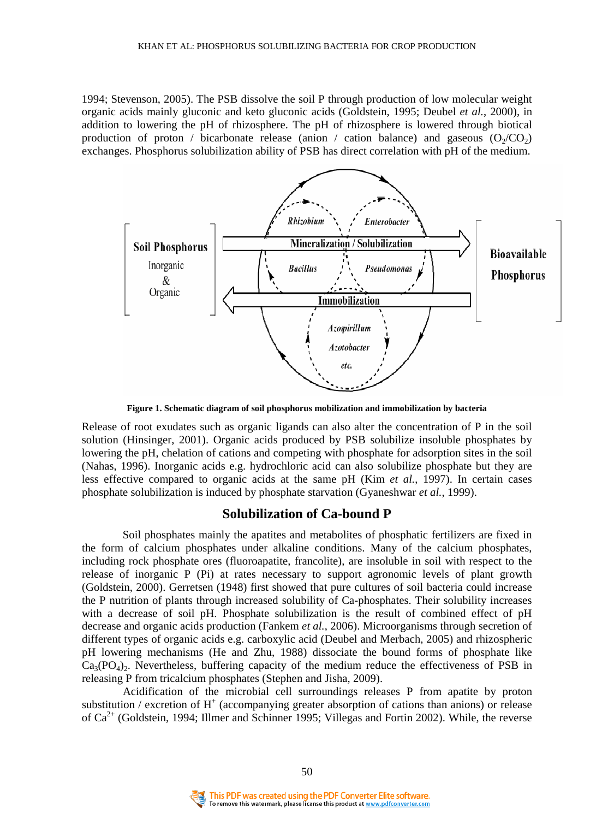1994; Stevenson, 2005). The PSB dissolve the soil P through production of low molecular weight organic acids mainly gluconic and keto gluconic acids (Goldstein, 1995; Deubel *et al.*, 2000), in addition to lowering the pH of rhizosphere. The pH of rhizosphere is lowered through biotical production of proton / bicarbonate release (anion / cation balance) and gaseous  $(O_2/CO_2)$ exchanges. Phosphorus solubilization ability of PSB has direct correlation with pH of the medium.



**Figure 1. Schematic diagram of soil phosphorus mobilization and immobilization by bacteria** 

Release of root exudates such as organic ligands can also alter the concentration of P in the soil solution (Hinsinger, 2001). Organic acids produced by PSB solubilize insoluble phosphates by lowering the pH, chelation of cations and competing with phosphate for adsorption sites in the soil (Nahas, 1996). Inorganic acids e.g. hydrochloric acid can also solubilize phosphate but they are less effective compared to organic acids at the same pH (Kim *et al.*, 1997). In certain cases phosphate solubilization is induced by phosphate starvation (Gyaneshwar *et al.*, 1999).

# **Solubilization of Ca-bound P**

Soil phosphates mainly the apatites and metabolites of phosphatic fertilizers are fixed in the form of calcium phosphates under alkaline conditions. Many of the calcium phosphates, including rock phosphate ores (fluoroapatite, francolite), are insoluble in soil with respect to the release of inorganic P (Pi) at rates necessary to support agronomic levels of plant growth (Goldstein, 2000). Gerretsen (1948) first showed that pure cultures of soil bacteria could increase the P nutrition of plants through increased solubility of Ca-phosphates. Their solubility increases with a decrease of soil pH. Phosphate solubilization is the result of combined effect of pH decrease and organic acids production (Fankem *et al.*, 2006). Microorganisms through secretion of different types of organic acids e.g. carboxylic acid (Deubel and Merbach, 2005) and rhizospheric pH lowering mechanisms (He and Zhu, 1988) dissociate the bound forms of phosphate like  $Ca_3(PO_4)_2$ . Nevertheless, buffering capacity of the medium reduce the effectiveness of PSB in releasing P from tricalcium phosphates (Stephen and Jisha, 2009).

Acidification of the microbial cell surroundings releases P from apatite by proton substitution / excretion of  $H^+$  (accompanying greater absorption of cations than anions) or release of Ca<sup>2+</sup> (Goldstein, 1994; Illmer and Schinner 1995; Villegas and Fortin 2002). While, the reverse



50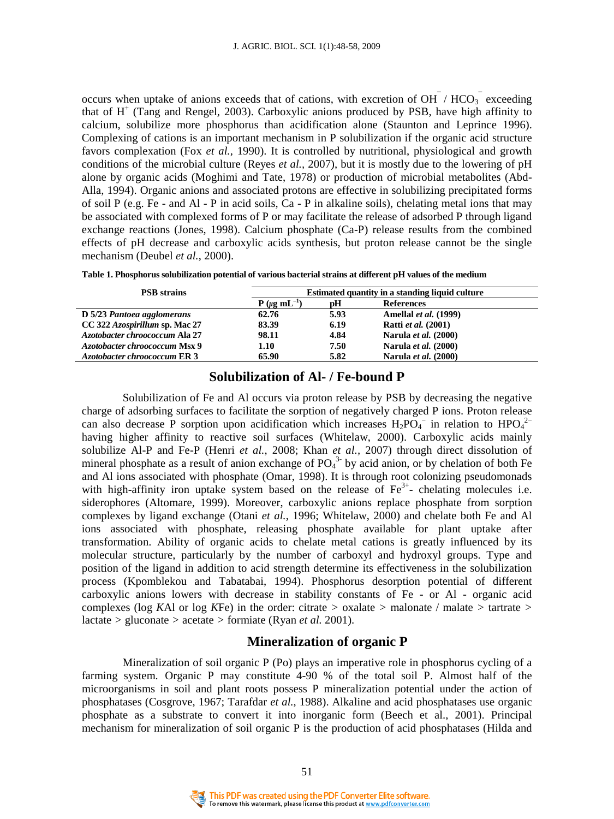occurs when uptake of anions exceeds that of cations, with excretion of OH  $/$  HCO<sub>3</sub> exceeding that of  $H^+$  (Tang and Rengel, 2003). Carboxylic anions produced by PSB, have high affinity to calcium, solubilize more phosphorus than acidification alone (Staunton and Leprince 1996). Complexing of cations is an important mechanism in P solubilization if the organic acid structure favors complexation (Fox *et al.,* 1990). It is controlled by nutritional, physiological and growth conditions of the microbial culture (Reyes *et al.,* 2007), but it is mostly due to the lowering of pH alone by organic acids (Moghimi and Tate, 1978) or production of microbial metabolites (Abd-Alla, 1994). Organic anions and associated protons are effective in solubilizing precipitated forms of soil P (e.g. Fe - and Al - P in acid soils, Ca - P in alkaline soils), chelating metal ions that may be associated with complexed forms of P or may facilitate the release of adsorbed P through ligand exchange reactions (Jones, 1998). Calcium phosphate (Ca-P) release results from the combined effects of pH decrease and carboxylic acids synthesis, but proton release cannot be the single mechanism (Deubel *et al.*, 2000).

|  |  |  |  | Table 1. Phosphorus solubilization potential of various bacterial strains at different pH values of the medium |
|--|--|--|--|----------------------------------------------------------------------------------------------------------------|
|  |  |  |  |                                                                                                                |

| <b>PSB</b> strains             | Estimated quantity in a standing liquid culture |      |                              |  |  |
|--------------------------------|-------------------------------------------------|------|------------------------------|--|--|
|                                | $P(\mu q \text{ mL}^{-1})$                      | рH   | <b>References</b>            |  |  |
| D 5/23 Pantoea agglomerans     | 62.76                                           | 5.93 | <b>Amelial et al.</b> (1999) |  |  |
| CC 322 Azospirillum sp. Mac 27 | 83.39                                           | 6.19 | <b>Ratti</b> et al. (2001)   |  |  |
| Azotobacter chroococcum Ala 27 | 98.11                                           | 4.84 | Narula et al. (2000)         |  |  |
| Azotobacter chroococcum Msx 9  | 1.10                                            | 7.50 | Narula et al. (2000)         |  |  |
| Azotobacter chroococcum ER 3   | 65.90                                           | 5.82 | <b>Narula et al.</b> (2000)  |  |  |

# **Solubilization of Al- / Fe-bound P**

Solubilization of Fe and Al occurs via proton release by PSB by decreasing the negative charge of adsorbing surfaces to facilitate the sorption of negatively charged P ions. Proton release can also decrease P sorption upon acidification which increases  $H_2PO_4^-$  in relation to  $HPO_4^{2-}$ having higher affinity to reactive soil surfaces (Whitelaw, 2000). Carboxylic acids mainly solubilize Al-P and Fe-P (Henri *et al.*, 2008; Khan *et al.,* 2007) through direct dissolution of mineral phosphate as a result of anion exchange of  $PO_4^{3}$  by acid anion, or by chelation of both Fe and Al ions associated with phosphate (Omar, 1998). It is through root colonizing pseudomonads with high-affinity iron uptake system based on the release of  $Fe<sup>3+</sup>$ - chelating molecules i.e. siderophores (Altomare, 1999). Moreover, carboxylic anions replace phosphate from sorption complexes by ligand exchange (Otani *et al.*, 1996; Whitelaw, 2000) and chelate both Fe and Al ions associated with phosphate, releasing phosphate available for plant uptake after transformation. Ability of organic acids to chelate metal cations is greatly influenced by its molecular structure, particularly by the number of carboxyl and hydroxyl groups. Type and position of the ligand in addition to acid strength determine its effectiveness in the solubilization process (Kpomblekou and Tabatabai, 1994). Phosphorus desorption potential of different carboxylic anions lowers with decrease in stability constants of Fe - or Al - organic acid complexes (log *K*Al or log *K*Fe) in the order: citrate *>* oxalate *>* malonate / malate *>* tartrate *>*  lactate *>* gluconate *>* acetate *>* formiate (Ryan *et al.* 2001).

### **Mineralization of organic P**

Mineralization of soil organic P (Po) plays an imperative role in phosphorus cycling of a farming system. Organic P may constitute 4-90 % of the total soil P. Almost half of the microorganisms in soil and plant roots possess P mineralization potential under the action of phosphatases (Cosgrove, 1967; Tarafdar *et al.*, 1988). Alkaline and acid phosphatases use organic phosphate as a substrate to convert it into inorganic form (Beech et al., 2001). Principal mechanism for mineralization of soil organic P is the production of acid phosphatases (Hilda and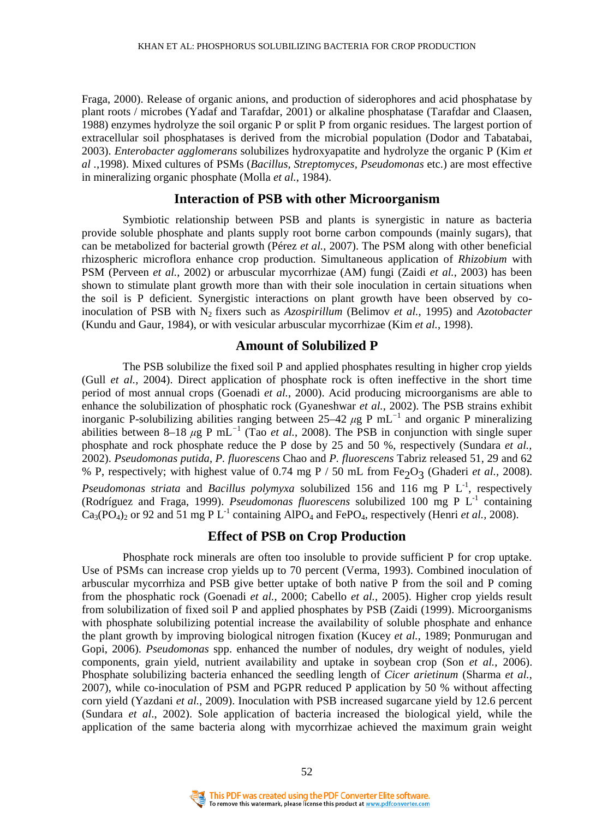Fraga, 2000). Release of organic anions, and production of siderophores and acid phosphatase by plant roots / microbes (Yadaf and Tarafdar, 2001) or alkaline phosphatase (Tarafdar and Claasen, 1988) enzymes hydrolyze the soil organic P or split P from organic residues. The largest portion of extracellular soil phosphatases is derived from the microbial population (Dodor and Tabatabai, 2003). *Enterobacter agglomerans* solubilizes hydroxyapatite and hydrolyze the organic P (Kim *et al .*,1998). Mixed cultures of PSMs (*Bacillus, Streptomyces, Pseudomonas* etc.) are most effective in mineralizing organic phosphate (Molla *et al.*, 1984).

#### **Interaction of PSB with other Microorganism**

Symbiotic relationship between PSB and plants is synergistic in nature as bacteria provide soluble phosphate and plants supply root borne carbon compounds (mainly sugars), that can be metabolized for bacterial growth (Pérez *et al.*, 2007). The PSM along with other beneficial rhizospheric microflora enhance crop production. Simultaneous application of *Rhizobium* with PSM (Perveen *et al.*, 2002) or arbuscular mycorrhizae (AM) fungi (Zaidi *et al.*, 2003) has been shown to stimulate plant growth more than with their sole inoculation in certain situations when the soil is P deficient. Synergistic interactions on plant growth have been observed by coinoculation of PSB with N<sup>2</sup> fixers such as *Azospirillum* (Belimov *et al.*, 1995) and *Azotobacter* (Kundu and Gaur, 1984), or with vesicular arbuscular mycorrhizae (Kim *et al.*, 1998).

#### **Amount of Solubilized P**

 The PSB solubilize the fixed soil P and applied phosphates resulting in higher crop yields (Gull *et al.*, 2004). Direct application of phosphate rock is often ineffective in the short time period of most annual crops (Goenadi *et al.*, 2000). Acid producing microorganisms are able to enhance the solubilization of phosphatic rock (Gyaneshwar *et al.*, 2002). The PSB strains exhibit inorganic P-solubilizing abilities ranging between 25–42 *µ*g P mL*<sup>−</sup>*<sup>1</sup> and organic P mineralizing abilities between 8–18 *µ*g P mL*<sup>−</sup>*<sup>1</sup> (Tao *et al.*, 2008). The PSB in conjunction with single super phosphate and rock phosphate reduce the P dose by 25 and 50 %, respectively (Sundara *et al.,*  2002). *Pseudomonas putida*, *P. fluorescens* Chao and *P. fluorescens* Tabriz released 51, 29 and 62 % P, respectively; with highest value of 0.74 mg P / 50 mL from Fe<sub>2</sub>O<sub>3</sub> (Ghaderi *et al.*, 2008). *Pseudomonas striata* and *Bacillus polymyxa* solubilized 156 and 116 mg P L<sup>-1</sup>, respectively (Rodríguez and Fraga, 1999). *Pseudomonas fluorescens* solubilized 100 mg P L-1 containing  $Ca_3(PO_4)_2$  or 92 and 51 mg P L<sup>-1</sup> containing AlPO<sub>4</sub> and FePO<sub>4</sub>, respectively (Henri *et al.*, 2008).

# **Effect of PSB on Crop Production**

Phosphate rock minerals are often too insoluble to provide sufficient P for crop uptake. Use of PSMs can increase crop yields up to 70 percent (Verma, 1993). Combined inoculation of arbuscular mycorrhiza and PSB give better uptake of both native P from the soil and P coming from the phosphatic rock (Goenadi *et al.*, 2000; Cabello *et al.*, 2005). Higher crop yields result from solubilization of fixed soil P and applied phosphates by PSB (Zaidi (1999). Microorganisms with phosphate solubilizing potential increase the availability of soluble phosphate and enhance the plant growth by improving biological nitrogen fixation (Kucey *et al.*, 1989; Ponmurugan and Gopi, 2006). *Pseudomonas* spp. enhanced the number of nodules, dry weight of nodules, yield components, grain yield, nutrient availability and uptake in soybean crop (Son *et al.*, 2006). Phosphate solubilizing bacteria enhanced the seedling length of *Cicer arietinum* (Sharma *et al.*, 2007), while co-inoculation of PSM and PGPR reduced P application by 50 % without affecting corn yield (Yazdani *et al.*, 2009). Inoculation with PSB increased sugarcane yield by 12.6 percent (Sundara *et al*., 2002). Sole application of bacteria increased the biological yield, while the application of the same bacteria along with mycorrhizae achieved the maximum grain weight

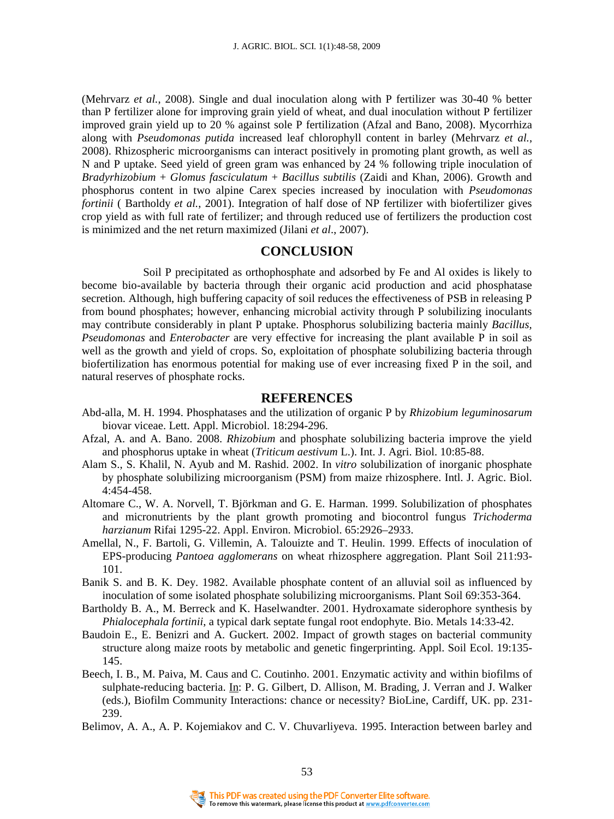(Mehrvarz *et al.*, 2008). Single and dual inoculation along with P fertilizer was 30-40 % better than P fertilizer alone for improving grain yield of wheat, and dual inoculation without P fertilizer improved grain yield up to 20 % against sole P fertilization (Afzal and Bano, 2008). Mycorrhiza along with *Pseudomonas putida* increased leaf chlorophyll content in barley (Mehrvarz *et al.*, 2008). Rhizospheric microorganisms can interact positively in promoting plant growth, as well as N and P uptake. Seed yield of green gram was enhanced by 24 % following triple inoculation of *Bradyrhizobium* + *Glomus fasciculatum* + *Bacillus subtilis* (Zaidi and Khan, 2006). Growth and phosphorus content in two alpine Carex species increased by inoculation with *Pseudomonas fortinii* ( Bartholdy *et al.*, 2001). Integration of half dose of NP fertilizer with biofertilizer gives crop yield as with full rate of fertilizer; and through reduced use of fertilizers the production cost is minimized and the net return maximized (Jilani *et al*., 2007).

# **CONCLUSION**

 Soil P precipitated as orthophosphate and adsorbed by Fe and Al oxides is likely to become bio-available by bacteria through their organic acid production and acid phosphatase secretion. Although, high buffering capacity of soil reduces the effectiveness of PSB in releasing P from bound phosphates; however, enhancing microbial activity through P solubilizing inoculants may contribute considerably in plant P uptake. Phosphorus solubilizing bacteria mainly *Bacillus, Pseudomonas* and *Enterobacter* are very effective for increasing the plant available P in soil as well as the growth and yield of crops. So, exploitation of phosphate solubilizing bacteria through biofertilization has enormous potential for making use of ever increasing fixed P in the soil, and natural reserves of phosphate rocks.

### **REFERENCES**

- Abd-alla, M. H. 1994. Phosphatases and the utilization of organic P by *Rhizobium leguminosarum*  biovar viceae. Lett. Appl. Microbiol. 18:294-296.
- Afzal, A. and A. Bano. 2008. *Rhizobium* and phosphate solubilizing bacteria improve the yield and phosphorus uptake in wheat (*Triticum aestivum* L.). Int. J. Agri. Biol. 10:85-88.
- Alam S., S. Khalil, N. Ayub and M. Rashid. 2002. In *vitro* solubilization of inorganic phosphate by phosphate solubilizing microorganism (PSM) from maize rhizosphere. Intl. J. Agric. Biol. 4:454-458.
- Altomare C., W. A. Norvell, T. Björkman and G. E. Harman. 1999. Solubilization of phosphates and micronutrients by the plant growth promoting and biocontrol fungus *Trichoderma harzianum* Rifai 1295-22. Appl. Environ. Microbiol. 65:2926–2933.
- Amellal, N., F. Bartoli, G. Villemin, A. Talouizte and T. Heulin. 1999. Effects of inoculation of EPS-producing *Pantoea agglomerans* on wheat rhizosphere aggregation. Plant Soil 211:93- 101.
- Banik S. and B. K. Dey. 1982. Available phosphate content of an alluvial soil as influenced by inoculation of some isolated phosphate solubilizing microorganisms. Plant Soil 69:353-364.
- Bartholdy B. A., M. Berreck and K. Haselwandter. 2001. Hydroxamate siderophore synthesis by *Phialocephala fortinii*, a typical dark septate fungal root endophyte. Bio. Metals 14:33-42.
- Baudoin E., E. Benizri and A. Guckert. 2002. Impact of growth stages on bacterial community structure along maize roots by metabolic and genetic fingerprinting. Appl. Soil Ecol. 19:135- 145.
- Beech, I. B., M. Paiva, M. Caus and C. Coutinho. 2001. Enzymatic activity and within biofilms of sulphate-reducing bacteria. In: P. G. Gilbert, D. Allison, M. Brading, J. Verran and J. Walker (eds.), Biofilm Community Interactions: chance or necessity? BioLine, Cardiff, UK. pp. 231- 239.
- Belimov, A. A., A. P. Kojemiakov and C. V. Chuvarliyeva. 1995. Interaction between barley and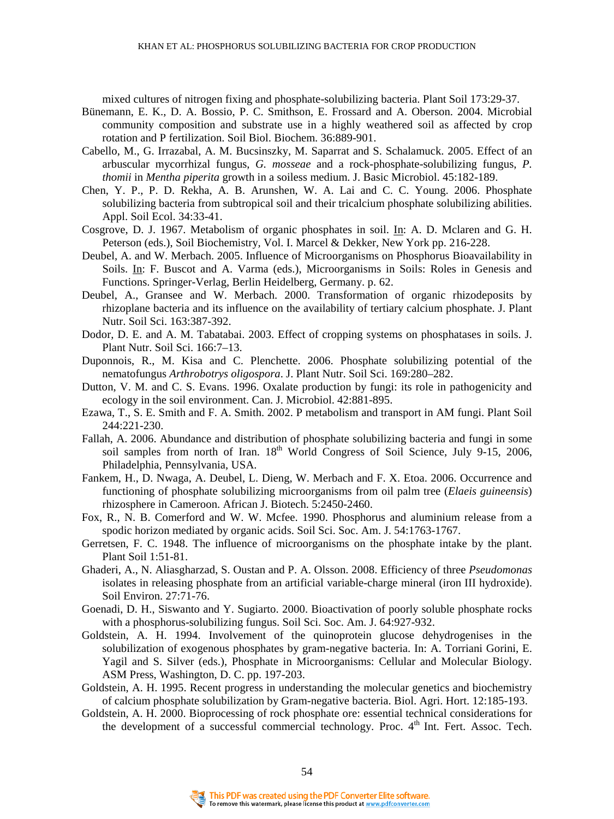mixed cultures of nitrogen fixing and phosphate-solubilizing bacteria. Plant Soil 173:29-37.

- Bünemann, E. K., D. A. Bossio, P. C. Smithson, E. Frossard and A. Oberson. 2004. Microbial community composition and substrate use in a highly weathered soil as affected by crop rotation and P fertilization. Soil Biol. Biochem. 36:889-901.
- Cabello, M., G. Irrazabal, A. M. Bucsinszky, M. Saparrat and S. Schalamuck. 2005. Effect of an arbuscular mycorrhizal fungus, *G. mosseae* and a rock-phosphate-solubilizing fungus, *P. thomii* in *Mentha piperita* growth in a soiless medium. J. Basic Microbiol. 45:182-189.
- Chen, Y. P., P. D. Rekha, A. B. Arunshen, W. A. Lai and C. C. Young. 2006. Phosphate solubilizing bacteria from subtropical soil and their tricalcium phosphate solubilizing abilities. Appl. Soil Ecol. 34:33-41.
- Cosgrove, D. J. 1967. Metabolism of organic phosphates in soil.  $\underline{\mathbf{h}}$ : A. D. Mclaren and G. H. Peterson (eds.), Soil Biochemistry*,* Vol. I. Marcel & Dekker, New York pp. 216-228.
- Deubel, A. and W. Merbach. 2005. Influence of Microorganisms on Phosphorus Bioavailability in Soils. In: F. Buscot and A. Varma (eds.), Microorganisms in Soils: Roles in Genesis and Functions. Springer-Verlag, Berlin Heidelberg, Germany. p. 62.
- Deubel, A., Gransee and W. Merbach. 2000. Transformation of organic rhizodeposits by rhizoplane bacteria and its influence on the availability of tertiary calcium phosphate. J. Plant Nutr. Soil Sci. 163:387-392.
- Dodor, D. E. and A. M. Tabatabai. 2003. Effect of cropping systems on phosphatases in soils. J. Plant Nutr. Soil Sci. 166:7–13.
- Duponnois, R., M. Kisa and C. Plenchette. 2006. Phosphate solubilizing potential of the nematofungus *Arthrobotrys oligospora*. J. Plant Nutr. Soil Sci. 169:280–282.
- Dutton, V. M. and C. S. Evans. 1996. Oxalate production by fungi: its role in pathogenicity and ecology in the soil environment. Can. J. Microbiol. 42:881-895.
- Ezawa, T., S. E. Smith and F. A. Smith. 2002. P metabolism and transport in AM fungi. Plant Soil 244:221-230.
- Fallah, A. 2006. Abundance and distribution of phosphate solubilizing bacteria and fungi in some soil samples from north of Iran.  $18<sup>th</sup>$  World Congress of Soil Science, July 9-15, 2006, Philadelphia, Pennsylvania, USA.
- Fankem, H., D. Nwaga, A. Deubel, L. Dieng, W. Merbach and F. X. Etoa. 2006. Occurrence and functioning of phosphate solubilizing microorganisms from oil palm tree (*Elaeis guineensis*) rhizosphere in Cameroon. African J. Biotech. 5:2450-2460.
- Fox, R., N. B. Comerford and W. W. Mcfee. 1990. Phosphorus and aluminium release from a spodic horizon mediated by organic acids. Soil Sci. Soc. Am. J. 54:1763-1767.
- Gerretsen, F. C. 1948. The influence of microorganisms on the phosphate intake by the plant. Plant Soil 1:51-81.
- Ghaderi, A., N. Aliasgharzad, S. Oustan and P. A. Olsson. 2008. Efficiency of three *Pseudomonas* isolates in releasing phosphate from an artificial variable-charge mineral (iron III hydroxide). Soil Environ. 27:71-76.
- Goenadi, D. H., Siswanto and Y. Sugiarto. 2000. Bioactivation of poorly soluble phosphate rocks with a phosphorus-solubilizing fungus. Soil Sci. Soc. Am. J. 64:927-932.
- Goldstein, A. H. 1994. Involvement of the quinoprotein glucose dehydrogenises in the solubilization of exogenous phosphates by gram-negative bacteria. In: A. Torriani Gorini, E. Yagil and S. Silver (eds.), Phosphate in Microorganisms: Cellular and Molecular Biology. ASM Press, Washington, D. C. pp. 197-203.
- Goldstein, A. H. 1995. Recent progress in understanding the molecular genetics and biochemistry of calcium phosphate solubilization by Gram-negative bacteria. Biol. Agri. Hort. 12:185-193.
- Goldstein, A. H. 2000. Bioprocessing of rock phosphate ore: essential technical considerations for the development of a successful commercial technology. Proc. 4<sup>th</sup> Int. Fert. Assoc. Tech.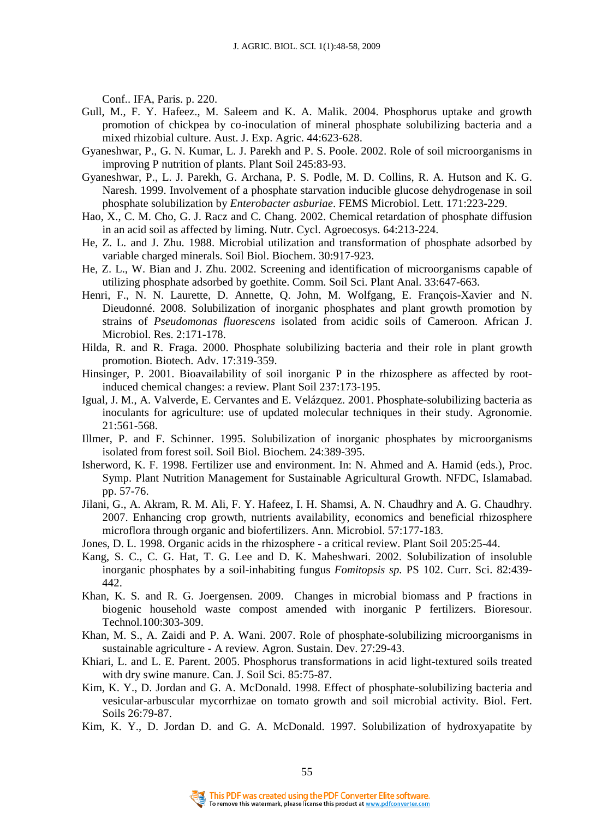Conf.. IFA, Paris. p. 220.

- Gull, M., F. Y. Hafeez., M. Saleem and K. A. Malik. 2004. Phosphorus uptake and growth promotion of chickpea by co-inoculation of mineral phosphate solubilizing bacteria and a mixed rhizobial culture. Aust. J. Exp. Agric. 44:623-628.
- Gyaneshwar, P., G. N. Kumar, L. J. Parekh and P. S. Poole. 2002. Role of soil microorganisms in improving P nutrition of plants. Plant Soil 245:83-93.
- Gyaneshwar, P., L. J. Parekh, G. Archana, P. S. Podle, M. D. Collins, R. A. Hutson and K. G. Naresh. 1999. Involvement of a phosphate starvation inducible glucose dehydrogenase in soil phosphate solubilization by *Enterobacter asburiae*. FEMS Microbiol. Lett. 171:223-229.
- Hao, X., C. M. Cho, G. J. Racz and C. Chang. 2002. Chemical retardation of phosphate diffusion in an acid soil as affected by liming. Nutr. Cycl. Agroecosys. 64:213-224.
- He, Z. L. and J. Zhu. 1988. Microbial utilization and transformation of phosphate adsorbed by variable charged minerals. Soil Biol. Biochem. 30:917-923.
- He, Z. L., W. Bian and J. Zhu. 2002. Screening and identification of microorganisms capable of utilizing phosphate adsorbed by goethite. Comm. Soil Sci. Plant Anal. 33:647-663.
- Henri, F., N. N. Laurette, D. Annette, Q. John, M. Wolfgang, E. François-Xavier and N. Dieudonné. 2008. Solubilization of inorganic phosphates and plant growth promotion by strains of *Pseudomonas fluorescens* isolated from acidic soils of Cameroon. African J. Microbiol. Res. 2:171-178.
- Hilda, R. and R. Fraga. 2000. Phosphate solubilizing bacteria and their role in plant growth promotion. Biotech. Adv. 17:319-359.
- Hinsinger, P. 2001. Bioavailability of soil inorganic P in the rhizosphere as affected by rootinduced chemical changes: a review. Plant Soil 237:173-195.
- Igual, J. M., A. Valverde, E. Cervantes and E. Velázquez. 2001. Phosphate-solubilizing bacteria as inoculants for agriculture: use of updated molecular techniques in their study. Agronomie. 21:561-568.
- Illmer, P. and F. Schinner. 1995. Solubilization of inorganic phosphates by microorganisms isolated from forest soil. Soil Biol. Biochem. 24:389-395.
- Isherword, K. F. 1998. Fertilizer use and environment. In: N. Ahmed and A. Hamid (eds.), Proc. Symp. Plant Nutrition Management for Sustainable Agricultural Growth. NFDC, Islamabad. pp. 57-76.
- Jilani, G., A. Akram, R. M. Ali, F. Y. Hafeez, I. H. Shamsi, A. N. Chaudhry and A. G. Chaudhry. 2007. Enhancing crop growth, nutrients availability, economics and beneficial rhizosphere microflora through organic and biofertilizers. Ann. Microbiol. 57:177-183.
- Jones, D. L. 1998. Organic acids in the rhizosphere a critical review. Plant Soil 205:25-44.
- Kang, S. C., C. G. Hat, T. G. Lee and D. K. Maheshwari. 2002. Solubilization of insoluble inorganic phosphates by a soil-inhabiting fungus *Fomitopsis sp.* PS 102. Curr. Sci. 82:439- 442.
- Khan, K. S. and R. G. Joergensen. 2009. Changes in microbial biomass and P fractions in biogenic household waste compost amended with inorganic P fertilizers. Bioresour. Technol.100:303-309.
- Khan, M. S., A. Zaidi and P. A. Wani. 2007. Role of phosphate-solubilizing microorganisms in sustainable agriculture - A review. Agron. Sustain. Dev. 27:29-43.
- Khiari, L. and L. E. Parent. 2005. Phosphorus transformations in acid light-textured soils treated with dry swine manure. Can. J. Soil Sci. 85:75-87.
- Kim, K. Y., D. Jordan and G. A. McDonald. 1998. Effect of phosphate-solubilizing bacteria and vesicular-arbuscular mycorrhizae on tomato growth and soil microbial activity. Biol. Fert. Soils 26:79-87.
- Kim, K. Y., D. Jordan D. and G. A. McDonald. 1997. Solubilization of hydroxyapatite by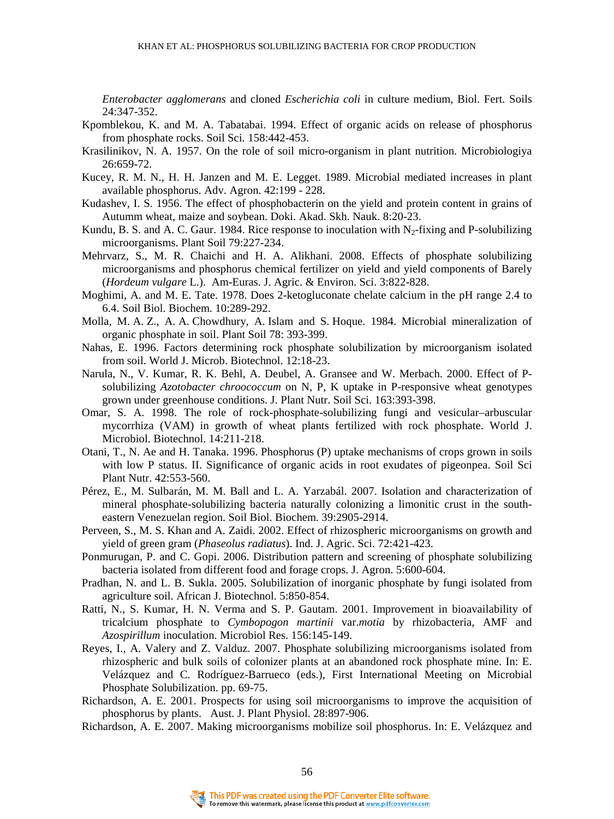*Enterobacter agglomerans* and cloned *Escherichia coli* in culture medium, Biol. Fert. Soils 24:347-352.

- [Kpomblekou, K. and M. A. Tabatabai. 1994](http://www.sciencedirect.com/science?_ob=ArticleURL&_udi=B6T4B-4JCBN7G-1&_user=3415652&_rdoc=1&_fmt=&_orig=search&_sort=d&view=c&_acct=C000060497&_version=1&_urlVersion=0&_userid=3415652&md5=541badaa101517f26e4cbd81e5008038). Effect of organic acids on release of phosphorus from phosphate rocks. Soil Sci*.* 158:442-453.
- Krasilinikov, N. A. 1957. On the role of soil micro-organism in plant nutrition. Microbiologiya 26:659-72.
- Kucey, R. M. N., H. H. Janzen and M. E. Legget. 1989. Microbial mediated increases in plant available phosphorus. Adv. Agron. 42:199 - 228.
- Kudashev, I. S. 1956. The effect of phosphobacterin on the yield and protein content in grains of Autumm wheat, maize and soybean. Doki. Akad. Skh. Nauk. 8:20-23.
- Kundu, B. S. and A. C. Gaur. 1984. Rice response to inoculation with  $N_2$ -fixing and P-solubilizing microorganisms. Plant Soil 79:227-234.
- Mehrvarz, S., M. R. Chaichi and H. A. Alikhani. 2008. Effects of phosphate solubilizing microorganisms and phosphorus chemical fertilizer on yield and yield components of Barely (*Hordeum vulgare* L.). Am-Euras. J. Agric. & Environ. Sci. 3:822-828.
- Moghimi, A. and M. E. Tate. 1978. Does 2-ketogluconate chelate calcium in the pH range 2.4 to 6.4. Soil Biol. Biochem. 10:289-292.
- Molla, M. A. Z., A. A. Chowdhury, A. Islam and S. Hoque. 1984. Microbial mineralization of organic phosphate in soil. Plant Soil 78: 393-399.
- Nahas, E. 1996. Factors determining rock phosphate solubilization by microorganism isolated from soil. World J. Microb. Biotechnol. 12:18-23.
- Narula, N., V. Kumar, R. K. Behl, A. Deubel, A. Gransee and W. Merbach. 2000. Effect of Psolubilizing *Azotobacter chroococcum* on N, P, K uptake in P-responsive wheat genotypes grown under greenhouse conditions. J. Plant Nutr. Soil Sci. 163:393-398.
- Omar, S. A. 1998. The role of rock-phosphate-solubilizing fungi and vesicular–arbuscular mycorrhiza (VAM) in growth of wheat plants fertilized with rock phosphate. World J. Microbiol. Biotechnol. 14:211-218.
- Otani, T., N. Ae and H. Tanaka. 1996. Phosphorus (P) uptake mechanisms of crops grown in soils with low P status. II. Significance of organic acids in root exudates of pigeonpea. Soil Sci Plant Nutr. 42:553-560.
- Pérez, E., M. Sulbarán, M. M. Ball and L. A. Yarzabál. 2007. Isolation and characterization of mineral phosphate-solubilizing bacteria naturally colonizing a limonitic crust in the southeastern Venezuelan region. Soil Biol. Biochem. 39:2905-2914.
- Perveen, S., M. S. Khan and A. Zaidi. 2002. Effect of rhizospheric microorganisms on growth and yield of green gram (*Phaseolus radiatus*). Ind. J. Agric. Sci. 72:421-423.
- Ponmurugan, P. and C. Gopi. 2006. Distribution pattern and screening of phosphate solubilizing bacteria isolated from different food and forage crops. J. Agron. 5:600-604.
- Pradhan, N. and L. B. Sukla. 2005. Solubilization of inorganic phosphate by fungi isolated from agriculture soil. African J. Biotechnol. 5:850-854.
- Ratti, N., S. Kumar, H. N. Verma and S. P. Gautam. 2001. Improvement in bioavailability of tricalcium phosphate to *Cymbopogon martinii* var.*motia* by rhizobacteria, AMF and *Azospirillum* inoculation. Microbiol Res. 156:145-149.
- Reyes, I., A. Valery and Z. Valduz. 2007. Phosphate solubilizing microorganisms isolated from rhizospheric and bulk soils of colonizer plants at an abandoned rock phosphate mine. In: E. Velázquez and C. Rodríguez-Barrueco (eds.), First International Meeting on Microbial Phosphate Solubilization. pp. 69-75.
- Richardson, A. E. 2001. Prospects for using soil microorganisms to improve the acquisition of phosphorus by plants. Aust. J. Plant Physiol. 28:897-906.
- Richardson, A. E. 2007. Making microorganisms mobilize soil phosphorus. In: E. Velázquez and

56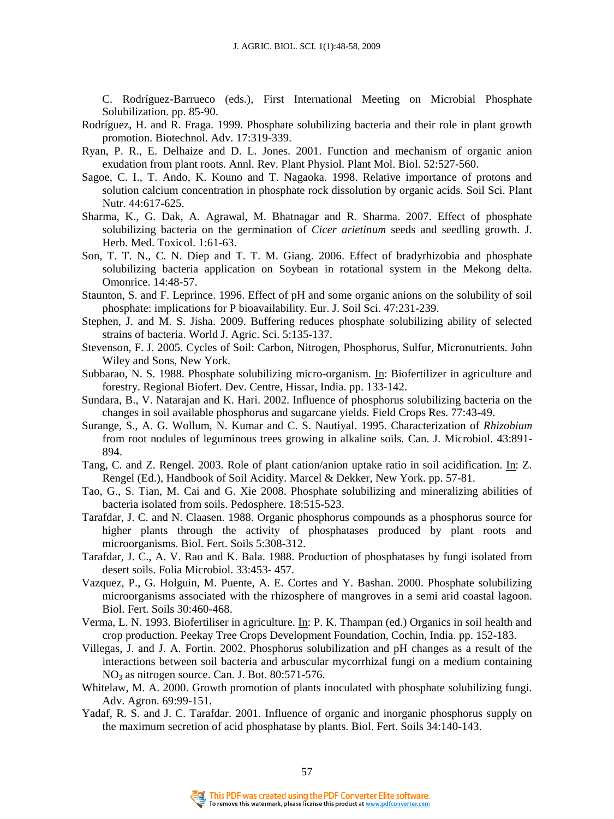C. Rodríguez-Barrueco (eds.), First International Meeting on Microbial Phosphate Solubilization. pp. 85-90.

- Rodríguez, H. and R. Fraga. 1999. Phosphate solubilizing bacteria and their role in plant growth promotion. Biotechnol. Adv. 17:319-339.
- Ryan, P. R., E. Delhaize and D. L. Jones. 2001. Function and mechanism of organic anion exudation from plant roots. Annl. Rev. Plant Physiol. Plant Mol. Biol. 52:527-560.
- Sagoe, C. I., T. Ando, K. Kouno and T. Nagaoka. 1998. Relative importance of protons and solution calcium concentration in phosphate rock dissolution by organic acids. Soil Sci. Plant Nutr. 44:617-625.
- Sharma, K., G. Dak, A. Agrawal, M. Bhatnagar and R. Sharma. 2007. Effect of phosphate solubilizing bacteria on the germination of *Cicer arietinum* seeds and seedling growth. J. Herb. Med. Toxicol. 1:61-63.
- Son, T. T. N., C. N. Diep and T. T. M. Giang. 2006. Effect of bradyrhizobia and phosphate solubilizing bacteria application on Soybean in rotational system in the Mekong delta. Omonrice. 14:48-57.
- Staunton, S. and F. Leprince. 1996. Effect of pH and some organic anions on the solubility of soil phosphate: implications for P bioavailability. Eur. J. Soil Sci. 47:231-239.
- Stephen, J. and M. S. Jisha. 2009. Buffering reduces phosphate solubilizing ability of selected strains of bacteria. World J. Agric. Sci. 5:135-137.
- Stevenson, F. J. 2005. Cycles of Soil: Carbon, Nitrogen, Phosphorus, Sulfur, Micronutrients. John Wiley and Sons, New York.
- Subbarao, N. S. 1988. Phosphate solubilizing micro-organism. In: Biofertilizer in agriculture and forestry. Regional Biofert. Dev. Centre, Hissar, India. pp. 133-142.
- Sundara, B., V. Natarajan and K. Hari. 2002. Influence of phosphorus solubilizing bacteria on the changes in soil available phosphorus and sugarcane yields. Field Crops Res. 77:43-49.
- Surange, S., A. G. Wollum, N. Kumar and C. S. Nautiyal. 1995. Characterization of *Rhizobium* from root nodules of leguminous trees growing in alkaline soils. Can. J. Microbiol. 43:891- 894.
- Tang, C. and Z. Rengel. 2003. Role of plant cation/anion uptake ratio in soil acidification. In: Z. Rengel (Ed.), Handbook of Soil Acidity. Marcel & Dekker, New York. pp. 57-81.
- Tao, G., S. Tian, M. Cai and G. Xie 2008. Phosphate solubilizing and mineralizing abilities of bacteria isolated from soils. Pedosphere. 18:515-523.
- Tarafdar, J. C. and N. Claasen. 1988. Organic phosphorus compounds as a phosphorus source for higher plants through the activity of phosphatases produced by plant roots and microorganisms. Biol. Fert. Soils 5:308-312.
- Tarafdar, J. C., A. V. Rao and K. Bala. 1988. Production of phosphatases by fungi isolated from desert soils. Folia Microbiol. 33:453- 457.
- Vazquez, P., G. Holguin, M. Puente, A. E. Cortes and Y. Bashan. 2000. Phosphate solubilizing microorganisms associated with the rhizosphere of mangroves in a semi arid coastal lagoon. Biol. Fert. Soils 30:460-468.
- Verma, L. N. 1993. Biofertiliser in agriculture. In: P. K. Thampan (ed.) Organics in soil health and crop production. Peekay Tree Crops Development Foundation, Cochin, India. pp. 152-183.
- Villegas, J. and J. A. Fortin. 2002. Phosphorus solubilization and pH changes as a result of the interactions between soil bacteria and arbuscular mycorrhizal fungi on a medium containing  $NO<sub>3</sub>$  as nitrogen source. Can. J. Bot. 80:571-576.
- Whitelaw, M. A. 2000. Growth promotion of plants inoculated with phosphate solubilizing fungi. Adv. Agron. 69:99-151.
- Yadaf, R. S. and J. C. Tarafdar. 2001. Influence of organic and inorganic phosphorus supply on the maximum secretion of acid phosphatase by plants. Biol. Fert. Soils 34:140-143.